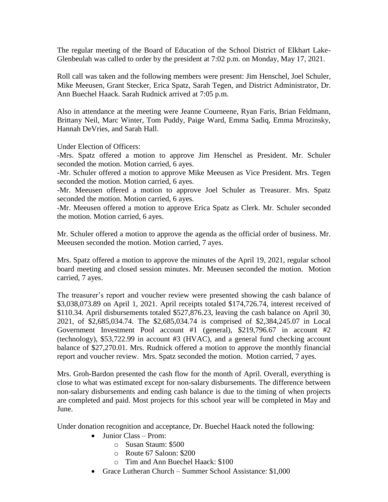The regular meeting of the Board of Education of the School District of Elkhart Lake-Glenbeulah was called to order by the president at 7:02 p.m. on Monday, May 17, 2021.

Roll call was taken and the following members were present: Jim Henschel, Joel Schuler, Mike Meeusen, Grant Stecker, Erica Spatz, Sarah Tegen, and District Administrator, Dr. Ann Buechel Haack. Sarah Rudnick arrived at 7:05 p.m.

Also in attendance at the meeting were Jeanne Courneene, Ryan Faris, Brian Feldmann, Brittany Neil, Marc Winter, Tom Puddy, Paige Ward, Emma Sadiq, Emma Mrozinsky, Hannah DeVries, and Sarah Hall.

Under Election of Officers:

-Mrs. Spatz offered a motion to approve Jim Henschel as President. Mr. Schuler seconded the motion. Motion carried, 6 ayes.

-Mr. Schuler offered a motion to approve Mike Meeusen as Vice President. Mrs. Tegen seconded the motion. Motion carried, 6 ayes.

-Mr. Meeusen offered a motion to approve Joel Schuler as Treasurer. Mrs. Spatz seconded the motion. Motion carried, 6 ayes.

-Mr. Meeusen offered a motion to approve Erica Spatz as Clerk. Mr. Schuler seconded the motion. Motion carried, 6 ayes.

Mr. Schuler offered a motion to approve the agenda as the official order of business. Mr. Meeusen seconded the motion. Motion carried, 7 ayes.

Mrs. Spatz offered a motion to approve the minutes of the April 19, 2021, regular school board meeting and closed session minutes. Mr. Meeusen seconded the motion. Motion carried, 7 ayes.

The treasurer's report and voucher review were presented showing the cash balance of \$3,038,073.89 on April 1, 2021. April receipts totaled \$174,726.74, interest received of \$110.34. April disbursements totaled \$527,876.23, leaving the cash balance on April 30, 2021, of \$2,685,034.74. The \$2,685,034.74 is comprised of \$2,384,245.07 in Local Government Investment Pool account #1 (general), \$219,796.67 in account #2 (technology), \$53,722.99 in account #3 (HVAC), and a general fund checking account balance of \$27,270.01. Mrs. Rudnick offered a motion to approve the monthly financial report and voucher review. Mrs. Spatz seconded the motion. Motion carried, 7 ayes.

Mrs. Groh-Bardon presented the cash flow for the month of April. Overall, everything is close to what was estimated except for non-salary disbursements. The difference between non-salary disbursements and ending cash balance is due to the timing of when projects are completed and paid. Most projects for this school year will be completed in May and June.

Under donation recognition and acceptance, Dr. Buechel Haack noted the following:

- Junior Class Prom:
	- o Susan Staum: \$500
	- o Route 67 Saloon: \$200
	- o Tim and Ann Buechel Haack: \$100
- Grace Lutheran Church Summer School Assistance: \$1,000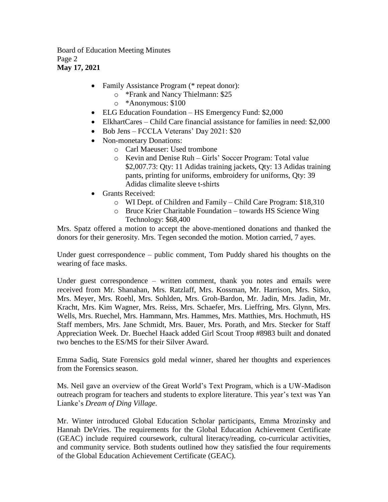Board of Education Meeting Minutes Page 2 **May 17, 2021**

- Family Assistance Program (\* repeat donor):
	- o \*Frank and Nancy Thielmann: \$25
	- o \*Anonymous: \$100
- ELG Education Foundation HS Emergency Fund: \$2,000
- ElkhartCares Child Care financial assistance for families in need: \$2,000
- Bob Jens FCCLA Veterans' Day 2021: \$20
- Non-monetary Donations:
	- o Carl Maeuser: Used trombone
	- o Kevin and Denise Ruh Girls' Soccer Program: Total value \$2,007.73: Qty: 11 Adidas training jackets, Qty: 13 Adidas training pants, printing for uniforms, embroidery for uniforms, Qty: 39 Adidas climalite sleeve t-shirts
- Grants Received:
	- o WI Dept. of Children and Family Child Care Program: \$18,310
	- o Bruce Krier Charitable Foundation towards HS Science Wing Technology: \$68,400

Mrs. Spatz offered a motion to accept the above-mentioned donations and thanked the donors for their generosity. Mrs. Tegen seconded the motion. Motion carried, 7 ayes.

Under guest correspondence – public comment, Tom Puddy shared his thoughts on the wearing of face masks.

Under guest correspondence – written comment, thank you notes and emails were received from Mr. Shanahan, Mrs. Ratzlaff, Mrs. Kossman, Mr. Harrison, Mrs. Sitko, Mrs. Meyer, Mrs. Roehl, Mrs. Sohlden, Mrs. Groh-Bardon, Mr. Jadin, Mrs. Jadin, Mr. Kracht, Mrs. Kim Wagner, Mrs. Reiss, Mrs. Schaefer, Mrs. Lieffring, Mrs. Glynn, Mrs. Wells, Mrs. Ruechel, Mrs. Hammann, Mrs. Hammes, Mrs. Matthies, Mrs. Hochmuth, HS Staff members, Mrs. Jane Schmidt, Mrs. Bauer, Mrs. Porath, and Mrs. Stecker for Staff Appreciation Week. Dr. Buechel Haack added Girl Scout Troop #8983 built and donated two benches to the ES/MS for their Silver Award.

Emma Sadiq, State Forensics gold medal winner, shared her thoughts and experiences from the Forensics season.

Ms. Neil gave an overview of the Great World's Text Program, which is a UW-Madison outreach program for teachers and students to explore literature. This year's text was Yan Lianke's *Dream of Ding Village.* 

Mr. Winter introduced Global Education Scholar participants, Emma Mrozinsky and Hannah DeVries. The requirements for the Global Education Achievement Certificate (GEAC) include required coursework, cultural literacy/reading, co-curricular activities, and community service. Both students outlined how they satisfied the four requirements of the Global Education Achievement Certificate (GEAC).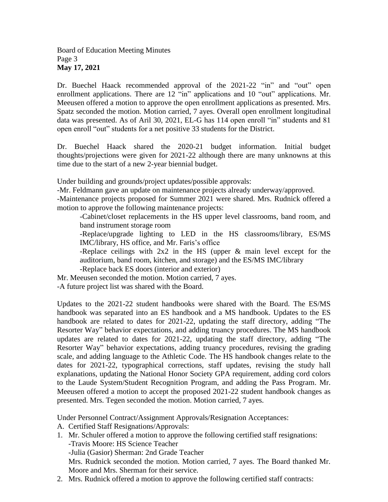Dr. Buechel Haack recommended approval of the 2021-22 "in" and "out" open enrollment applications. There are 12 "in" applications and 10 "out" applications. Mr. Meeusen offered a motion to approve the open enrollment applications as presented. Mrs. Spatz seconded the motion. Motion carried, 7 ayes. Overall open enrollment longitudinal data was presented. As of Aril 30, 2021, EL-G has 114 open enroll "in" students and 81 open enroll "out" students for a net positive 33 students for the District.

Dr. Buechel Haack shared the 2020-21 budget information. Initial budget thoughts/projections were given for 2021-22 although there are many unknowns at this time due to the start of a new 2-year biennial budget.

Under building and grounds/project updates/possible approvals:

-Mr. Feldmann gave an update on maintenance projects already underway/approved.

-Maintenance projects proposed for Summer 2021 were shared. Mrs. Rudnick offered a motion to approve the following maintenance projects:

-Cabinet/closet replacements in the HS upper level classrooms, band room, and band instrument storage room

-Replace/upgrade lighting to LED in the HS classrooms/library, ES/MS IMC/library, HS office, and Mr. Faris's office

-Replace ceilings with 2x2 in the HS (upper & main level except for the auditorium, band room, kitchen, and storage) and the ES/MS IMC/library

-Replace back ES doors (interior and exterior)

Mr. Meeusen seconded the motion. Motion carried, 7 ayes.

-A future project list was shared with the Board.

Updates to the 2021-22 student handbooks were shared with the Board. The ES/MS handbook was separated into an ES handbook and a MS handbook. Updates to the ES handbook are related to dates for 2021-22, updating the staff directory, adding "The Resorter Way" behavior expectations, and adding truancy procedures. The MS handbook updates are related to dates for 2021-22, updating the staff directory, adding "The Resorter Way" behavior expectations, adding truancy procedures, revising the grading scale, and adding language to the Athletic Code. The HS handbook changes relate to the dates for 2021-22, typographical corrections, staff updates, revising the study hall explanations, updating the National Honor Society GPA requirement, adding cord colors to the Laude System/Student Recognition Program, and adding the Pass Program. Mr. Meeusen offered a motion to accept the proposed 2021-22 student handbook changes as presented. Mrs. Tegen seconded the motion. Motion carried, 7 ayes.

Under Personnel Contract/Assignment Approvals/Resignation Acceptances:

A. Certified Staff Resignations/Approvals:

- 1. Mr. Schuler offered a motion to approve the following certified staff resignations: -Travis Moore: HS Science Teacher -Julia (Gasior) Sherman: 2nd Grade Teacher Mrs. Rudnick seconded the motion. Motion carried, 7 ayes. The Board thanked Mr. Moore and Mrs. Sherman for their service.
- 2. Mrs. Rudnick offered a motion to approve the following certified staff contracts: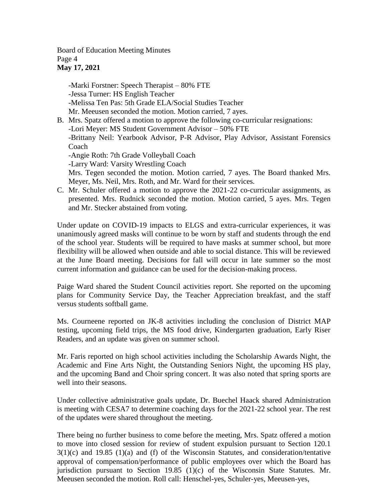Board of Education Meeting Minutes Page 4 **May 17, 2021**

-Marki Forstner: Speech Therapist – 80% FTE -Jessa Turner: HS English Teacher -Melissa Ten Pas: 5th Grade ELA/Social Studies Teacher Mr. Meeusen seconded the motion. Motion carried, 7 ayes.

- B. Mrs. Spatz offered a motion to approve the following co-curricular resignations: -Lori Meyer: MS Student Government Advisor – 50% FTE -Brittany Neil: Yearbook Advisor, P-R Advisor, Play Advisor, Assistant Forensics Coach -Angie Roth: 7th Grade Volleyball Coach -Larry Ward: Varsity Wrestling Coach Mrs. Tegen seconded the motion. Motion carried, 7 ayes. The Board thanked Mrs. Meyer, Ms. Neil, Mrs. Roth, and Mr. Ward for their services.
- C. Mr. Schuler offered a motion to approve the 2021-22 co-curricular assignments, as presented. Mrs. Rudnick seconded the motion. Motion carried, 5 ayes. Mrs. Tegen and Mr. Stecker abstained from voting.

Under update on COVID-19 impacts to ELGS and extra-curricular experiences, it was unanimously agreed masks will continue to be worn by staff and students through the end of the school year. Students will be required to have masks at summer school, but more flexibility will be allowed when outside and able to social distance. This will be reviewed at the June Board meeting. Decisions for fall will occur in late summer so the most current information and guidance can be used for the decision-making process.

Paige Ward shared the Student Council activities report. She reported on the upcoming plans for Community Service Day, the Teacher Appreciation breakfast, and the staff versus students softball game.

Ms. Courneene reported on JK-8 activities including the conclusion of District MAP testing, upcoming field trips, the MS food drive, Kindergarten graduation, Early Riser Readers, and an update was given on summer school.

Mr. Faris reported on high school activities including the Scholarship Awards Night, the Academic and Fine Arts Night, the Outstanding Seniors Night, the upcoming HS play, and the upcoming Band and Choir spring concert. It was also noted that spring sports are well into their seasons.

Under collective administrative goals update, Dr. Buechel Haack shared Administration is meeting with CESA7 to determine coaching days for the 2021-22 school year. The rest of the updates were shared throughout the meeting.

There being no further business to come before the meeting, Mrs. Spatz offered a motion to move into closed session for review of student expulsion pursuant to Section 120.1  $3(1)(c)$  and  $19.85$   $(1)(a)$  and  $(f)$  of the Wisconsin Statutes, and consideration/tentative approval of compensation/performance of public employees over which the Board has jurisdiction pursuant to Section 19.85 (1)(c) of the Wisconsin State Statutes. Mr. Meeusen seconded the motion. Roll call: Henschel-yes, Schuler-yes, Meeusen-yes,